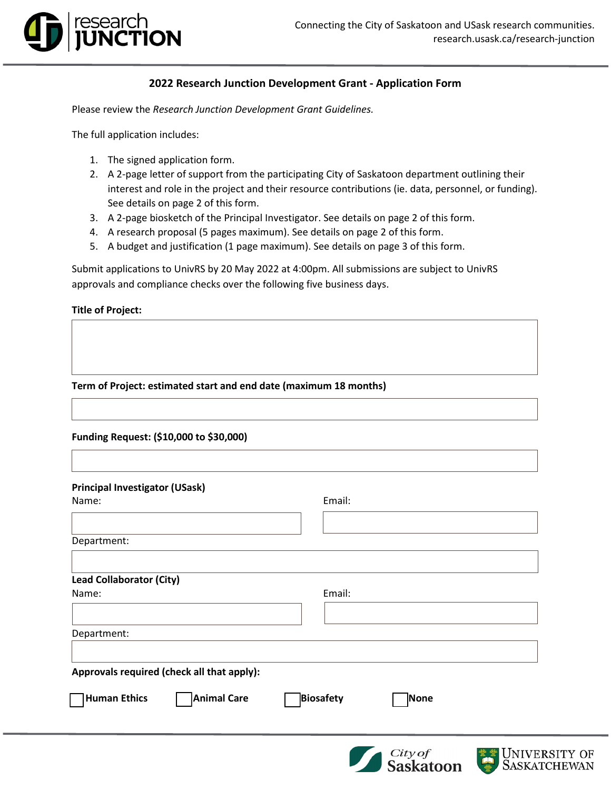## **2022 Research Junction Development Grant - Application Form**

Please review the *Research Junction Development Grant Guidelines.* 

The full application includes:

research<br>**JUNCTION** 

- 1. The signed application form.
- 2. A 2-page letter of support from the participating City of Saskatoon department outlining their interest and role in the project and their resource contributions (ie. data, personnel, or funding). See details on page 2 of this form.
- 3. A 2-page biosketch of the Principal Investigator. See details on page 2 of this form.
- 4. A research proposal (5 pages maximum). See details on page 2 of this form.
- 5. A budget and justification (1 page maximum). See details on page 3 of this form.

Submit applications to UnivRS by 20 May 2022 at 4:00pm. All submissions are subject to UnivRS approvals and compliance checks over the following five business days.

**Title of Project:**

**Term of Project: estimated start and end date (maximum 18 months)**

**Funding Request: (\$10,000 to \$30,000)**

| Principal Investigator (USask)             |                                        |      |
|--------------------------------------------|----------------------------------------|------|
| Name:                                      | Email:                                 |      |
|                                            |                                        |      |
| Department:                                |                                        |      |
|                                            |                                        |      |
| <b>Lead Collaborator (City)</b>            |                                        |      |
| Name:                                      | Email:                                 |      |
|                                            |                                        |      |
| Department:                                |                                        |      |
|                                            |                                        |      |
| Approvals required (check all that apply): |                                        |      |
| Human Ethics                               | <b>Animal Care</b><br><b>Biosafety</b> | None |
|                                            |                                        |      |



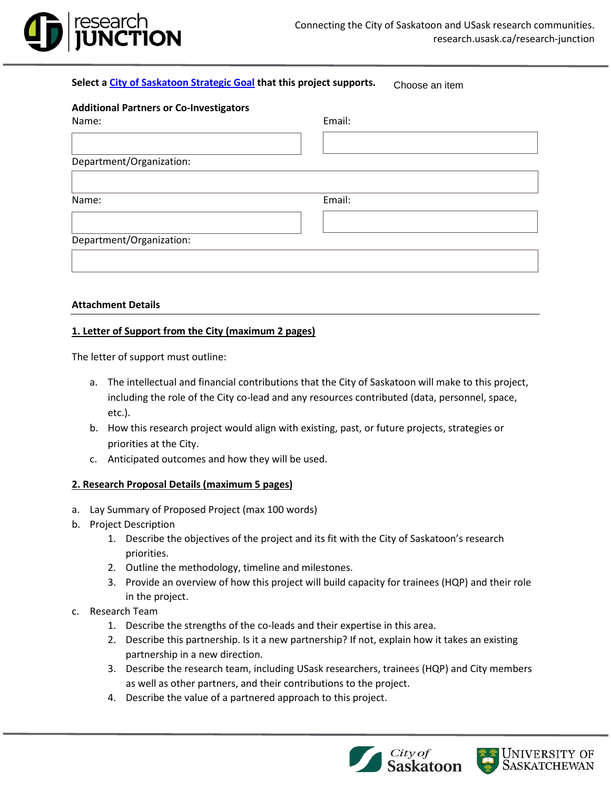

#### **Select a [City of Saskatoon Strategic Goal](https://www.saskatoon.ca/business-development/planning/strategic-plan) that this project supports.**

Choose an item

| <b>Additional Partners or Co-Investigators</b> |        |  |
|------------------------------------------------|--------|--|
| Name:                                          | Email: |  |
|                                                |        |  |
| Department/Organization:                       |        |  |
|                                                |        |  |
| Name:                                          | Email: |  |
|                                                |        |  |
| Department/Organization:                       |        |  |
|                                                |        |  |
|                                                |        |  |

#### **Attachment Details**

### **1. Letter of Support from the City (maximum 2 pages)**

The letter of support must outline:

- a. The intellectual and financial contributions that the City of Saskatoon will make to this project, including the role of the City co-lead and any resources contributed (data, personnel, space, etc.).
- b. How this research project would align with existing, past, or future projects, strategies or priorities at the City.
- c. Anticipated outcomes and how they will be used.

### **2. Research Proposal Details (maximum 5 pages)**

- a. Lay Summary of Proposed Project (max 100 words)
- b. Project Description
	- 1. Describe the objectives of the project and its fit with the City of Saskatoon's research priorities.
	- 2. Outline the methodology, timeline and milestones.
	- 3. Provide an overview of how this project will build capacity for trainees (HQP) and their role in the project.
- c. Research Team
	- 1. Describe the strengths of the co-leads and their expertise in this area.
	- 2. Describe this partnership. Is it a new partnership? If not, explain how it takes an existing partnership in a new direction.
	- 3. Describe the research team, including USask researchers, trainees (HQP) and City members as well as other partners, and their contributions to the project.
	- 4. Describe the value of a partnered approach to this project.